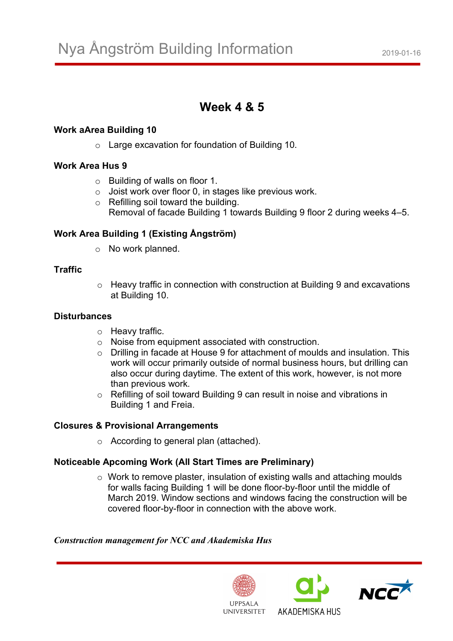# **Week 4 & 5**

## **Work aArea Building 10**

o Large excavation for foundation of Building 10.

### **Work Area Hus 9**

- o Building of walls on floor 1.
- o Joist work over floor 0, in stages like previous work.
- o Refilling soil toward the building. Removal of facade Building 1 towards Building 9 floor 2 during weeks 4–5.

# **Work Area Building 1 (Existing Ångström)**

o No work planned.

## **Traffic**

o Heavy traffic in connection with construction at Building 9 and excavations at Building 10.

### **Disturbances**

- o Heavy traffic.
- o Noise from equipment associated with construction.
- o Drilling in facade at House 9 for attachment of moulds and insulation. This work will occur primarily outside of normal business hours, but drilling can also occur during daytime. The extent of this work, however, is not more than previous work.
- o Refilling of soil toward Building 9 can result in noise and vibrations in Building 1 and Freia.

# **Closures & Provisional Arrangements**

o According to general plan (attached).

# **Noticeable Apcoming Work (All Start Times are Preliminary)**

o Work to remove plaster, insulation of existing walls and attaching moulds for walls facing Building 1 will be done floor-by-floor until the middle of March 2019. Window sections and windows facing the construction will be covered floor-by-floor in connection with the above work.

### *Construction management for NCC and Akademiska Hus*





AKADEMISKA HUS